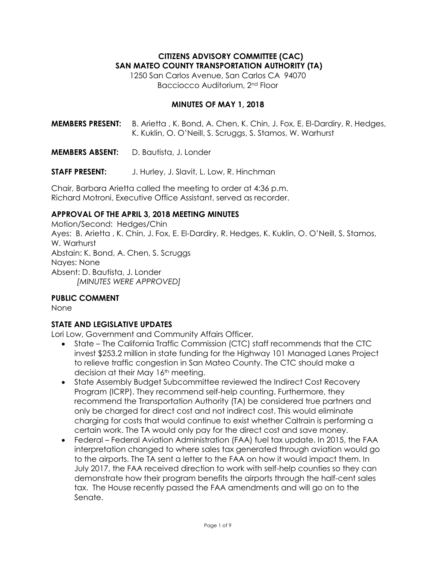# **CITIZENS ADVISORY COMMITTEE (CAC) SAN MATEO COUNTY TRANSPORTATION AUTHORITY (TA)**

1250 San Carlos Avenue, San Carlos CA 94070 Bacciocco Auditorium, 2nd Floor

#### **MINUTES OF MAY 1, 2018**

**MEMBERS PRESENT:** B. Arietta , K. Bond, A. Chen, K. Chin, J. Fox, E. El-Dardiry, R. Hedges, K. Kuklin, O. O'Neill, S. Scruggs, S. Stamos, W. Warhurst

**MEMBERS ABSENT:** D. Bautista, J. Londer

**STAFF PRESENT:** J. Hurley, J. Slavit, L. Low, R. Hinchman

Chair, Barbara Arietta called the meeting to order at 4:36 p.m. Richard Motroni, Executive Office Assistant, served as recorder.

### **APPROVAL OF THE APRIL 3, 2018 MEETING MINUTES**

Motion/Second: Hedges/Chin Ayes: B. Arietta , K. Chin, J. Fox, E. El-Dardiry, R. Hedges, K. Kuklin, O. O'Neill, S. Stamos, W. Warhurst Abstain: K. Bond, A. Chen, S. Scruggs Nayes: None Absent: D. Bautista, J. Londer *[MINUTES WERE APPROVED]*

# **PUBLIC COMMENT**

None

# **STATE AND LEGISLATIVE UPDATES**

Lori Low, Government and Community Affairs Officer.

- State The California Traffic Commission (CTC) staff recommends that the CTC invest \$253.2 million in state funding for the Highway 101 Managed Lanes Project to relieve traffic congestion in San Mateo County. The CTC should make a decision at their May 16<sup>th</sup> meeting.
- State Assembly Budget Subcommittee reviewed the Indirect Cost Recovery Program (ICRP). They recommend self-help counting. Furthermore, they recommend the Transportation Authority (TA) be considered true partners and only be charged for direct cost and not indirect cost. This would eliminate charging for costs that would continue to exist whether Caltrain is performing a certain work. The TA would only pay for the direct cost and save money.
- Federal Federal Aviation Administration (FAA) fuel tax update. In 2015, the FAA interpretation changed to where sales tax generated through aviation would go to the airports. The TA sent a letter to the FAA on how it would impact them. In July 2017, the FAA received direction to work with self-help counties so they can demonstrate how their program benefits the airports through the half-cent sales tax. The House recently passed the FAA amendments and will go on to the Senate.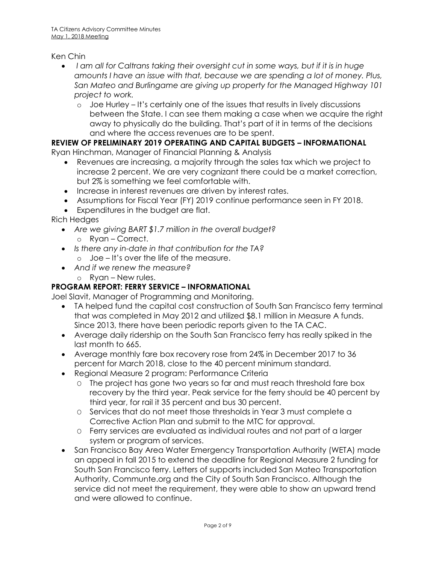Ken Chin

- *I am all for Caltrans taking their oversight cut in some ways, but if it is in huge amounts I have an issue with that, because we are spending a lot of money. Plus, San Mateo and Burlingame are giving up property for the Managed Highway 101 project to work.*
	- o Joe Hurley It's certainly one of the issues that results in lively discussions between the State. I can see them making a case when we acquire the right away to physically do the building. That's part of it in terms of the decisions and where the access revenues are to be spent.

# **REVIEW OF PRELIMINARY 2019 OPERATING AND CAPITAL BUDGETS – INFORMATIONAL**

Ryan Hinchman, Manager of Financial Planning & Analysis

- Revenues are increasing, a majority through the sales tax which we project to increase 2 percent. We are very cognizant there could be a market correction, but 2% is something we feel comfortable with.
- Increase in interest revenues are driven by interest rates.
- Assumptions for Fiscal Year (FY) 2019 continue performance seen in FY 2018.
- Expenditures in the budget are flat.

Rich Hedges

- *Are we giving BART \$1.7 million in the overall budget?* o Ryan – Correct.
- *Is there any in-date in that contribution for the TA?* o Joe – It's over the life of the measure.
- *And if we renew the measure?*
	- o Ryan New rules.

# **PROGRAM REPORT: FERRY SERVICE – INFORMATIONAL**

Joel Slavit, Manager of Programming and Monitoring.

- TA helped fund the capital cost construction of South San Francisco ferry terminal that was completed in May 2012 and utilized \$8.1 million in Measure A funds. Since 2013, there have been periodic reports given to the TA CAC.
- Average daily ridership on the South San Francisco ferry has really spiked in the last month to 665.
- Average monthly fare box recovery rose from 24% in December 2017 to 36 percent for March 2018, close to the 40 percent minimum standard.
- Regional Measure 2 program: Performance Criteria
	- O The project has gone two years so far and must reach threshold fare box recovery by the third year. Peak service for the ferry should be 40 percent by third year, for rail it 35 percent and bus 30 percent.
	- O Services that do not meet those thresholds in Year 3 must complete a Corrective Action Plan and submit to the MTC for approval.
	- O Ferry services are evaluated as individual routes and not part of a larger system or program of services.
- San Francisco Bay Area Water Emergency Transportation Authority (WETA) made an appeal in fall 2015 to extend the deadline for Regional Measure 2 funding for South San Francisco ferry. Letters of supports included San Mateo Transportation Authority, Communte.org and the City of South San Francisco. Although the service did not meet the requirement, they were able to show an upward trend and were allowed to continue.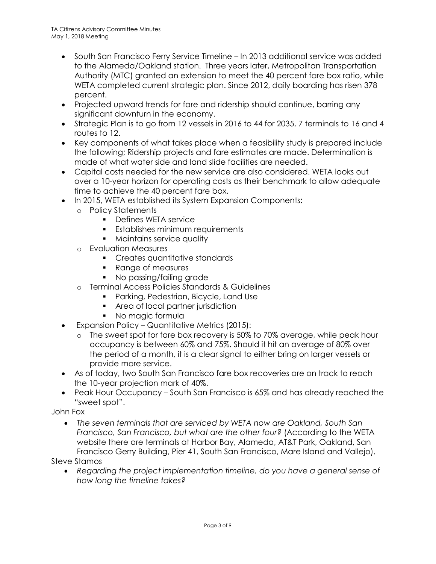- South San Francisco Ferry Service Timeline In 2013 additional service was added to the Alameda/Oakland station. Three years later, Metropolitan Transportation Authority (MTC) granted an extension to meet the 40 percent fare box ratio, while WETA completed current strategic plan. Since 2012, daily boarding has risen 378 percent.
- Projected upward trends for fare and ridership should continue, barring any significant downturn in the economy.
- Strategic Plan is to go from 12 vessels in 2016 to 44 for 2035, 7 terminals to 16 and 4 routes to 12.
- Key components of what takes place when a feasibility study is prepared include the following; Ridership projects and fare estimates are made. Determination is made of what water side and land slide facilities are needed.
- Capital costs needed for the new service are also considered. WETA looks out over a 10-year horizon for operating costs as their benchmark to allow adequate time to achieve the 40 percent fare box.
- In 2015, WETA established its System Expansion Components:
	- o Policy Statements
		- **Defines WETA service**
		- Establishes minimum requirements
		- **Maintains service quality**
	- o Evaluation Measures
		- **Creates quantitative standards**
		- Range of measures
		- No passing/failing grade
	- o Terminal Access Policies Standards & Guidelines
		- **Parking, Pedestrian, Bicycle, Land Use**
		- **Area of local partner jurisdiction**
		- No magic formula
- Expansion Policy Quantitative Metrics (2015):
	- o The sweet spot for fare box recovery is 50% to 70% average, while peak hour occupancy is between 60% and 75%. Should it hit an average of 80% over the period of a month, it is a clear signal to either bring on larger vessels or provide more service.
- As of today, two South San Francisco fare box recoveries are on track to reach the 10-year projection mark of 40%.
- Peak Hour Occupancy South San Francisco is 65% and has already reached the "sweet spot".

John Fox

 *The seven terminals that are serviced by WETA now are Oakland, South San Francisco, San Francisco, but what are the other four?* (According to the WETA website there are terminals at Harbor Bay, Alameda, AT&T Park, Oakland, San Francisco Gerry Building, Pier 41, South San Francisco, Mare Island and Vallejo).

Steve Stamos

 *Regarding the project implementation timeline, do you have a general sense of how long the timeline takes?*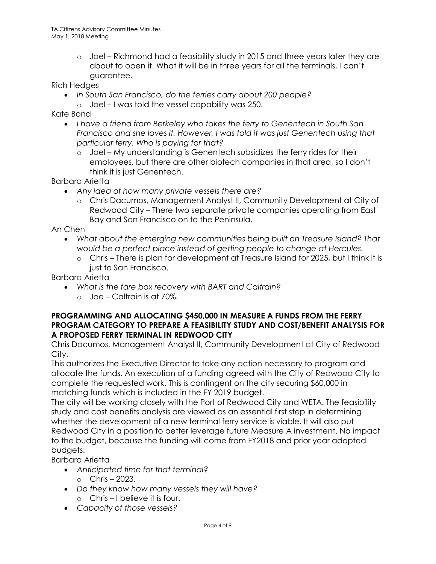o Joel – Richmond had a feasibility study in 2015 and three years later they are about to open it. What it will be in three years for all the terminals, I can't guarantee.

Rich Hedges

- *In South San Francisco, do the ferries carry about 200 people?*
- o Joel I was told the vessel capability was 250.

Kate Bond

- *I have a friend from Berkeley who takes the ferry to Genentech in South San Francisco and she loves it. However, I was told it was just Genentech using that particular ferry. Who is paying for that?*
	- o Joel My understanding is Genentech subsidizes the ferry rides for their employees, but there are other biotech companies in that area, so I don't think it is just Genentech.

Barbara Arietta

- *Any idea of how many private vessels there are?*
	- o Chris Dacumos, Management Analyst II, Community Development at City of Redwood City – There two separate private companies operating from East Bay and San Francisco on to the Peninsula.

An Chen

- What about the emerging new communities being built on Treasure Island? That *would be a perfect place instead of getting people to change at Hercules.*
	- o Chris There is plan for development at Treasure Island for 2025, but I think it is just to San Francisco.

Barbara Arietta

- *What is the fare box recovery with BART and Caltrain?*
	- o Joe Caltrain is at 70%.

### **PROGRAMMING AND ALLOCATING \$450,000 IN MEASURE A FUNDS FROM THE FERRY PROGRAM CATEGORY TO PREPARE A FEASIBILITY STUDY AND COST/BENEFIT ANALYSIS FOR A PROPOSED FERRY TERMINAL IN REDWOOD CITY**

Chris Dacumos, Management Analyst II, Community Development at City of Redwood City.

This authorizes the Executive Director to take any action necessary to program and allocate the funds. An execution of a funding agreed with the City of Redwood City to complete the requested work. This is contingent on the city securing \$60,000 in matching funds which is included in the FY 2019 budget.

The city will be working closely with the Port of Redwood City and WETA. The feasibility study and cost benefits analysis are viewed as an essential first step in determining whether the development of a new terminal ferry service is viable. It will also put Redwood City in a position to better leverage future Measure A investment. No impact to the budget, because the funding will come from FY2018 and prior year adopted budgets.

Barbara Arietta

- *Anticipated time for that terminal?*  $\circ$  Chris – 2023.
- *Do they know how many vessels they will have?*
	- o Chris I believe it is four.
- *Capacity of those vessels?*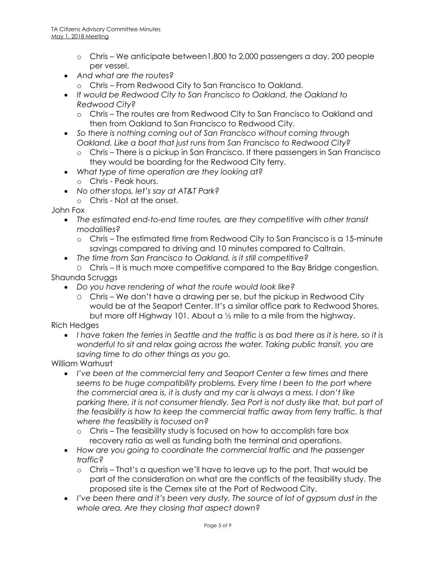- o Chris We anticipate between1,800 to 2,000 passengers a day. 200 people per vessel.
- *And what are the routes?*
	- o Chris From Redwood City to San Francisco to Oakland.
- *It would be Redwood City to San Francisco to Oakland, the Oakland to Redwood City?*
	- o Chris The routes are from Redwood City to San Francisco to Oakland and then from Oakland to San Francisco to Redwood City.
- *So there is nothing coming out of San Francisco without coming through Oakland. Like a boat that just runs from San Francisco to Redwood City?*
	- o Chris There is a pickup in San Francisco. If there passengers in San Francisco they would be boarding for the Redwood City ferry.
- *What type of time operation are they looking at?*
	- o Chris Peak hours.
- *No other stops, let's say at AT&T Park?*
	- o Chris Not at the onset.

John Fox

- *The estimated end-to-end time routes, are they competitive with other transit modalities?*
	- o Chris The estimated time from Redwood City to San Francisco is a 15-minute savings compared to driving and 10 minutes compared to Caltrain.
- *The time from San Francisco to Oakland, is it still competitive?*
- O Chris It is much more competitive compared to the Bay Bridge congestion. Shaunda Scruggs
	- *Do you have rendering of what the route would look like?*
		- O Chris We don't have a drawing per se, but the pickup in Redwood City would be at the Seaport Center. It's a similar office park to Redwood Shores, but more off Highway 101. About a ½ mile to a mile from the highway.

Rich Hedges

 *I have taken the ferries in Seattle and the traffic is as bad there as it is here, so it is wonderful to sit and relax going across the water. Taking public transit, you are saving time to do other things as you go.*

William Warhusrt

- I've been at the commercial ferry and Seaport Center a few times and there seems to be huge compatibility problems. Every time I been to the port where *the commercial area is, it is dusty and my car is always a mess. I don't like parking there, it is not consumer friendly. Sea Port is not dusty like that, but part of the feasibility is how to keep the commercial traffic away from ferry traffic. Is that where the feasibility is focused on?*
	- o Chris The feasibility study is focused on how to accomplish fare box recovery ratio as well as funding both the terminal and operations.
- *How are you going to coordinate the commercial traffic and the passenger traffic?*
	- o Chris That's a question we'll have to leave up to the port. That would be part of the consideration on what are the conflicts of the feasibility study. The proposed site is the Cemex site at the Port of Redwood City.
- *I've been there and it's been very dusty. The source of lot of gypsum dust in the whole area. Are they closing that aspect down?*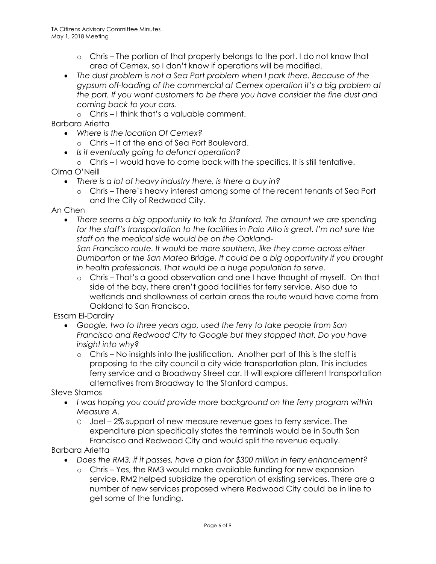- o Chris The portion of that property belongs to the port. I do not know that area of Cemex, so I don't know if operations will be modified.
- *The dust problem is not a Sea Port problem when I park there. Because of the gypsum off-loading of the commercial at Cemex operation it's a big problem at the port. If you want customers to be there you have consider the fine dust and coming back to your cars.*
	- o Chris I think that's a valuable comment.

Barbara Arietta

- *Where is the location Of Cemex?*
	- o Chris It at the end of Sea Port Boulevard.
- *Is it eventually going to defunct operation?*
- o Chris I would have to come back with the specifics. It is still tentative.

Olma O'Neill

- *There is a lot of heavy industry there, is there a buy in?*
	- o Chris There's heavy interest among some of the recent tenants of Sea Port and the City of Redwood City.

An Chen

 *There seems a big opportunity to talk to Stanford. The amount we are spending for the staff's transportation to the facilities in Palo Alto is great. I'm not sure the staff on the medical side would be on the Oakland-*

*San Francisco route. It would be more southern, like they come across either Dumbarton or the San Mateo Bridge. It could be a big opportunity if you brought in health professionals. That would be a huge population to serve.* 

o Chris – That's a good observation and one I have thought of myself. On that side of the bay, there aren't good facilities for ferry service. Also due to wetlands and shallowness of certain areas the route would have come from Oakland to San Francisco.

Essam El-Dardiry

- *Google, two to three years ago, used the ferry to take people from San Francisco and Redwood City to Google but they stopped that. Do you have insight into why?*
	- o Chris No insights into the justification. Another part of this is the staff is proposing to the city council a city wide transportation plan. This includes ferry service and a Broadway Street car. It will explore different transportation alternatives from Broadway to the Stanford campus.

Steve Stamos

- *I was hoping you could provide more background on the ferry program within Measure A.*
	- O Joel 2% support of new measure revenue goes to ferry service. The expenditure plan specifically states the terminals would be in South San Francisco and Redwood City and would split the revenue equally.

Barbara Arietta

- *Does the RM3, if it passes, have a plan for \$300 million in ferry enhancement?*
	- o Chris Yes, the RM3 would make available funding for new expansion service. RM2 helped subsidize the operation of existing services. There are a number of new services proposed where Redwood City could be in line to get some of the funding.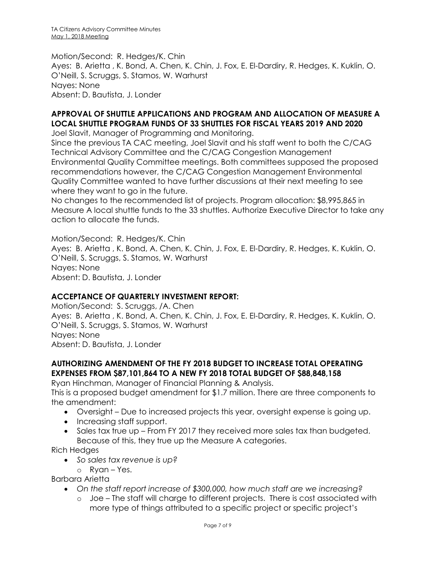Motion/Second: R. Hedges/K. Chin Ayes: B. Arietta , K. Bond, A. Chen, K. Chin, J. Fox, E. El-Dardiry, R. Hedges, K. Kuklin, O. O'Neill, S. Scruggs, S. Stamos, W. Warhurst Nayes: None Absent: D. Bautista, J. Londer

# **APPROVAL OF SHUTTLE APPLICATIONS AND PROGRAM AND ALLOCATION OF MEASURE A LOCAL SHUTTLE PROGRAM FUNDS OF 33 SHUTTLES FOR FISCAL YEARS 2019 AND 2020**

Joel Slavit, Manager of Programming and Monitoring.

Since the previous TA CAC meeting, Joel Slavit and his staff went to both the C/CAG Technical Advisory Committee and the C/CAG Congestion Management Environmental Quality Committee meetings. Both committees supposed the proposed recommendations however, the C/CAG Congestion Management Environmental Quality Committee wanted to have further discussions at their next meeting to see where they want to go in the future.

No changes to the recommended list of projects. Program allocation: \$8,995,865 in Measure A local shuttle funds to the 33 shuttles. Authorize Executive Director to take any action to allocate the funds.

Motion/Second: R. Hedges/K. Chin Ayes: B. Arietta , K. Bond, A. Chen, K. Chin, J. Fox, E. El-Dardiry, R. Hedges, K. Kuklin, O. O'Neill, S. Scruggs, S. Stamos, W. Warhurst Nayes: None Absent: D. Bautista, J. Londer

# **ACCEPTANCE OF QUARTERLY INVESTMENT REPORT:**

Motion/Second: S. Scruggs, /A. Chen Ayes: B. Arietta , K. Bond, A. Chen, K. Chin, J. Fox, E. El-Dardiry, R. Hedges, K. Kuklin, O. O'Neill, S. Scruggs, S. Stamos, W. Warhurst Nayes: None Absent: D. Bautista, J. Londer

# **AUTHORIZING AMENDMENT OF THE FY 2018 BUDGET TO INCREASE TOTAL OPERATING EXPENSES FROM \$87,101,864 TO A NEW FY 2018 TOTAL BUDGET OF \$88,848,158**

Ryan Hinchman, Manager of Financial Planning & Analysis.

This is a proposed budget amendment for \$1.7 million. There are three components to the amendment:

- Oversight Due to increased projects this year, oversight expense is going up.
- Increasing staff support.
- Sales tax true up From FY 2017 they received more sales tax than budgeted. Because of this, they true up the Measure A categories.

Rich Hedges

- *So sales tax revenue is up?*
- o Ryan Yes.

Barbara Arietta

- *On the staff report increase of \$300,000, how much staff are we increasing?*
	- o Joe The staff will charge to different projects. There is cost associated with more type of things attributed to a specific project or specific project's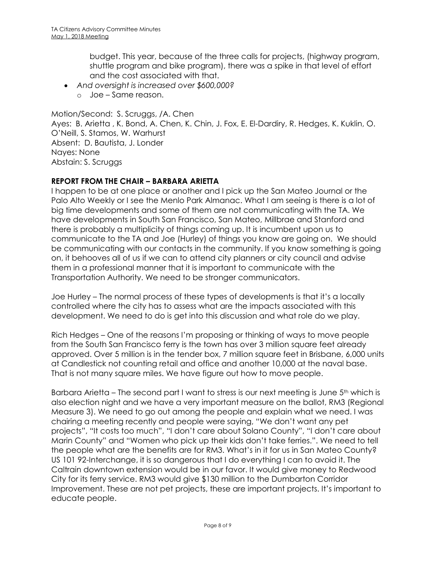budget. This year, because of the three calls for projects, (highway program, shuttle program and bike program), there was a spike in that level of effort and the cost associated with that.

- *And oversight is increased over \$600,000?*
	- o Joe Same reason.

Motion/Second: S. Scruggs, /A. Chen Ayes: B. Arietta , K. Bond, A. Chen, K. Chin, J. Fox, E. El-Dardiry, R. Hedges, K. Kuklin, O. O'Neill, S. Stamos, W. Warhurst Absent: D. Bautista, J. Londer Nayes: None Abstain: S. Scruggs

# **REPORT FROM THE CHAIR – BARBARA ARIETTA**

I happen to be at one place or another and I pick up the San Mateo Journal or the Palo Alto Weekly or I see the Menlo Park Almanac. What I am seeing is there is a lot of big time developments and some of them are not communicating with the TA. We have developments in South San Francisco, San Mateo, Millbrae and Stanford and there is probably a multiplicity of things coming up. It is incumbent upon us to communicate to the TA and Joe (Hurley) of things you know are going on. We should be communicating with our contacts in the community. If you know something is going on, it behooves all of us if we can to attend city planners or city council and advise them in a professional manner that it is important to communicate with the Transportation Authority. We need to be stronger communicators.

Joe Hurley – The normal process of these types of developments is that it's a locally controlled where the city has to assess what are the impacts associated with this development. We need to do is get into this discussion and what role do we play.

Rich Hedges – One of the reasons I'm proposing or thinking of ways to move people from the South San Francisco ferry is the town has over 3 million square feet already approved. Over 5 million is in the tender box, 7 million square feet in Brisbane, 6,000 units at Candlestick not counting retail and office and another 10,000 at the naval base. That is not many square miles. We have figure out how to move people.

Barbara Arietta – The second part I want to stress is our next meeting is June  $5<sup>th</sup>$  which is also election night and we have a very important measure on the ballot, RM3 (Regional Measure 3). We need to go out among the people and explain what we need. I was chairing a meeting recently and people were saying, "We don't want any pet projects", "It costs too much", "I don't care about Solano County", "I don't care about Marin County" and "Women who pick up their kids don't take ferries.". We need to tell the people what are the benefits are for RM3. What's in it for us in San Mateo County? US 101 92-Interchange, it is so dangerous that I do everything I can to avoid it. The Caltrain downtown extension would be in our favor. It would give money to Redwood City for its ferry service. RM3 would give \$130 million to the Dumbarton Corridor Improvement. These are not pet projects, these are important projects. It's important to educate people.